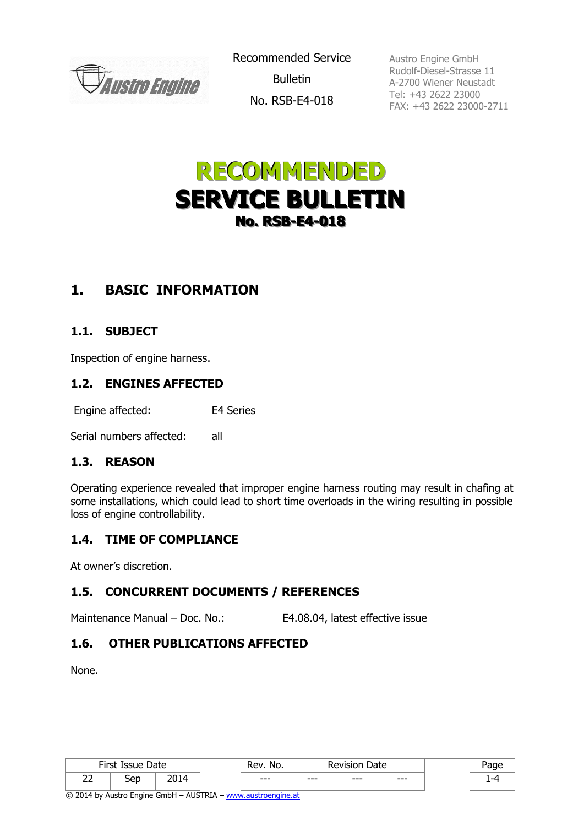**JAustro Engine** 

Recommended Service Bulletin No. RSB-E4-018

Austro Engine GmbH Rudolf-Diesel-Strasse 11 A-2700 Wiener Neustadt Tel: +43 2622 23000 FAX: +43 2622 23000-2711



## **1. BASIC INFORMATION**

### **1.1. SUBJECT**

Inspection of engine harness.

#### **1.2. ENGINES AFFECTED**

Engine affected: E4 Series

Serial numbers affected: all

#### **1.3. REASON**

<span id="page-0-0"></span>Operating experience revealed that improper engine harness routing may result in chafing at some installations, which could lead to short time overloads in the wiring resulting in possible loss of engine controllability.

#### **1.4. TIME OF COMPLIANCE**

At owner's discretion.

#### **1.5. CONCURRENT DOCUMENTS / REFERENCES**

Maintenance Manual – Doc. No.: E4.08.04, latest effective issue

### **1.6. OTHER PUBLICATIONS AFFECTED**

None.

| Eirot<br>Date<br>Issue<br>-11 SL |           |       | No.<br>Rev. | Date<br>Revisior |      |     |    |
|----------------------------------|-----------|-------|-------------|------------------|------|-----|----|
| $\sim$ $\sim$<br><u>__</u>       | ar.<br>ーー | _____ | $--$        | $--$             | $--$ | --- | -- |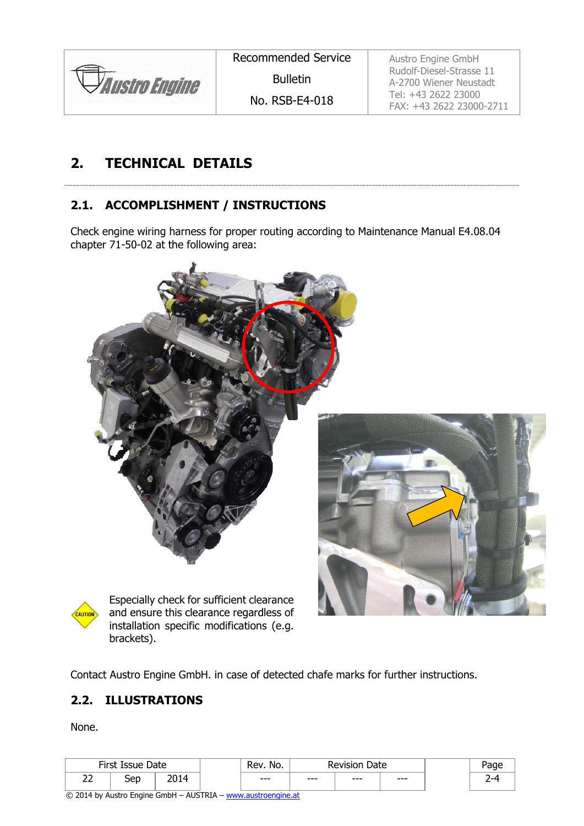

Recommended Service

Bulletin

No. RSB-E4-018

Austro Engine GmbH Rudolf-Diesel-Strasse 11 A-2700 Wiener Neustadt Tel: +43 2622 23000 FAX: +43 2622 23000-2711

# **2. TECHNICAL DETAILS**

## <span id="page-1-0"></span>**2.1. ACCOMPLISHMENT / INSTRUCTIONS**

Check engine wiring harness for proper routing according to Maintenance Manual E4.08.04 chapter 71-50-02 at the following area:





## **2.2. ILLUSTRATIONS**

None.

| Eirct-<br>$T_{\text{CCI}}$ $\alpha$<br>Date<br>wuc |            |     | No.<br>-<br>kev. | Date<br>/ISIOI<br>יסו |      |       |   |
|----------------------------------------------------|------------|-----|------------------|-----------------------|------|-------|---|
| $\sim$<br><u>__</u>                                | .er<br>ししレ | --- | $--$             | $--$                  | $--$ | $---$ | - |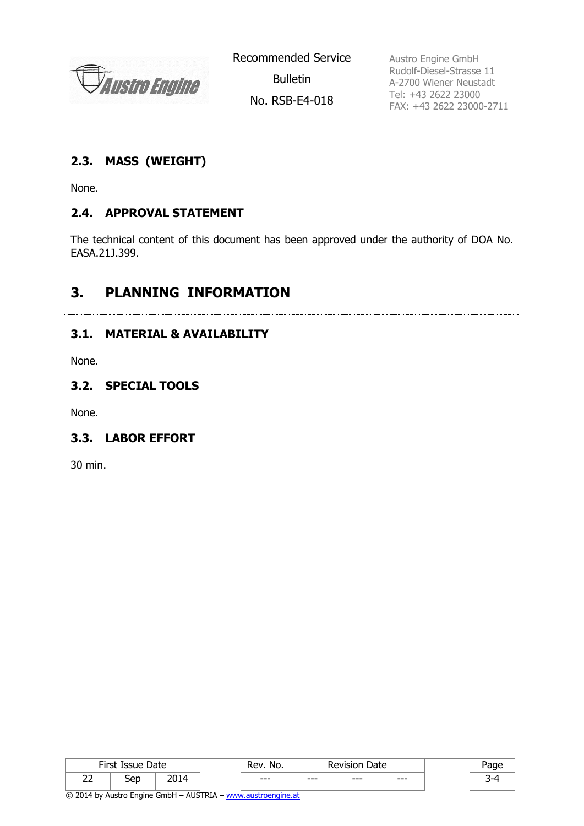

Austro Engine GmbH Rudolf-Diesel-Strasse 11 A-2700 Wiener Neustadt Tel: +43 2622 23000 FAX: +43 2622 23000-2711

#### **2.3. MASS (WEIGHT)**

None.

#### **2.4. APPROVAL STATEMENT**

The technical content of this document has been approved under the authority of DOA No. EASA.21J.399.

## **3. PLANNING INFORMATION**

#### **3.1. MATERIAL & AVAILABILITY**

None.

#### **3.2. SPECIAL TOOLS**

None.

#### **3.3. LABOR EFFORT**

30 min.

| <b>First Iss</b><br>Date<br>Issue |            |                            | No.<br>kev. |      | Revision<br>Date |      | ade    |
|-----------------------------------|------------|----------------------------|-------------|------|------------------|------|--------|
| --<br><u>__</u>                   | .er<br>ししい | ากฯ ภ<br>$\Delta$<br>201 I | $--$        | $--$ | $--$             | $--$ | ∽<br>ـ |